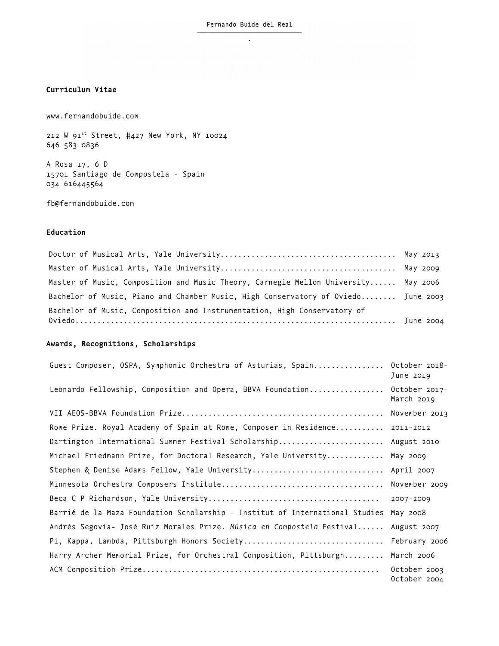# **Curriculum Vitae**

[www.fernandobuide.com](http://www.fernandobuide.com/)

212 W  $91^{st}$  Street,  $#427$  New York, NY 10024 646 583 0836

A Rosa 17, 6 D 15701 Santiago de Compostela · Spain 034 616445564

fb@fernandobuide.com

#### **Education**

Doctor of Musical Arts, Yale University........................................ May 2013 Master of Musical Arts, Yale University........................................ May 2009 Master of Music, Composition and Music Theory, Carnegie Mellon University...... May 2006 Bachelor of Music, Piano and Chamber Music, High Conservatory of Oviedo........ June 2003 Bachelor of Music, Composition and Instrumentation, High Conservatory of Oviedo......................................................................... June 2004

### **Awards, Recognitions, Scholarships**

| Guest Composer, OSPA, Symphonic Orchestra of Asturias, Spain                 | October 2018-<br>June 2019   |
|------------------------------------------------------------------------------|------------------------------|
| Leonardo Fellowship, Composition and Opera, BBVA Foundation                  | October 2017-<br>March 2019  |
|                                                                              | November 2013                |
| Rome Prize. Royal Academy of Spain at Rome, Composer in Residence 2011-2012  |                              |
| Dartington International Summer Festival Scholarship August 2010             |                              |
| Michael Friedmann Prize, for Doctoral Research, Yale University              | May 2009                     |
| Stephen & Denise Adams Fellow, Yale University                               | April 2007                   |
|                                                                              | November 2009                |
|                                                                              | 2007-2009                    |
| Barrié de la Maza Foundation Scholarship - Institut of International Studies | May 2008                     |
| Andrés Segovia- José Ruiz Morales Prize. Música en Compostela Festival       | August 2007                  |
| Pi, Kappa, Lambda, Pittsburgh Honors Society                                 | February 2006                |
| Harry Archer Memorial Prize, for Orchestral Composition, Pittsburgh          | March 2006                   |
|                                                                              | October 2003<br>October 2004 |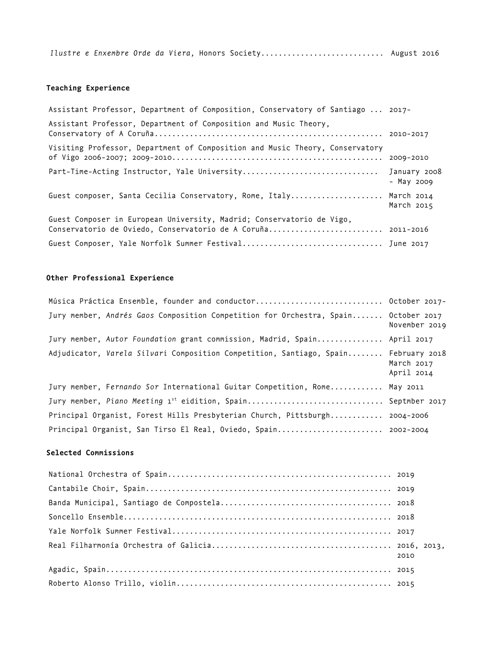*Ilustre e Enxembre Orde da Viera,* Honors Society............................ August 2016

# **Teaching Experience**

| Assistant Professor, Department of Composition, Conservatory of Santiago  2017-                                                       |             |
|---------------------------------------------------------------------------------------------------------------------------------------|-------------|
| Assistant Professor, Department of Composition and Music Theory,                                                                      |             |
| Visiting Professor, Department of Composition and Music Theory, Conservatory                                                          |             |
| Part-Time-Acting Instructor, Yale University January 2008                                                                             | $-May$ 2009 |
| Guest composer, Santa Cecilia Conservatory, Rome, Italy March 2014                                                                    | March 2015  |
| Guest Composer in European University, Madrid; Conservatorio de Vigo,<br>Conservatorio de Oviedo, Conservatorio de A Coruña 2011-2016 |             |
|                                                                                                                                       |             |

# **Other Professional Experience**

| Música Práctica Ensemble, founder and conductor October 2017-                      |                          |
|------------------------------------------------------------------------------------|--------------------------|
| Jury member, Andrés Gaos Composition Competition for Orchestra, Spain October 2017 | November 2019            |
| Jury member, Autor Foundation grant commission, Madrid, Spain April 2017           |                          |
| Adjudicator, Varela Silvari Composition Competition, Santiago, Spain February 2018 | March 2017<br>April 2014 |
| Jury member, Fernando Sor International Guitar Competition, Rome May 2011          |                          |
| Jury member, Piano Meeting 1 <sup>st</sup> eidition, Spain Septmber 2017           |                          |
| Principal Organist, Forest Hills Presbyterian Church, Pittsburgh 2004-2006         |                          |
| Principal Organist, San Tirso El Real, Oviedo, Spain 2002-2004                     |                          |

## **Selected Commissions**

| 2010 |
|------|
|      |
|      |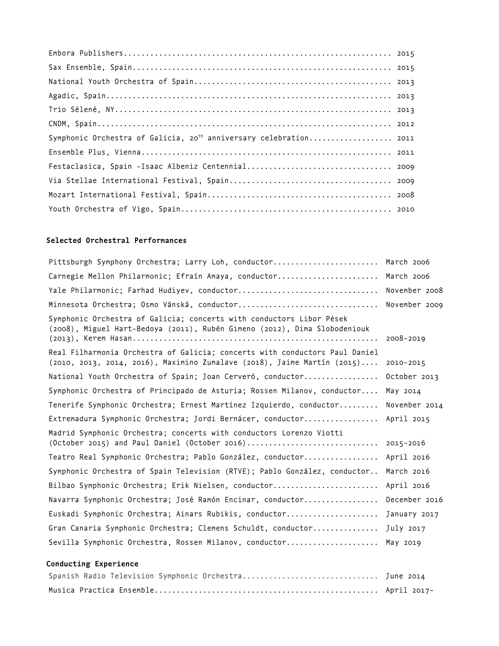| Symphonic Orchestra of Galicia, 20 <sup>th</sup> anniversary celebration 2011 |  |
|-------------------------------------------------------------------------------|--|
|                                                                               |  |
|                                                                               |  |
|                                                                               |  |
|                                                                               |  |
|                                                                               |  |

# **Selected Orchestral Performances**

| Pittsburgh Symphony Orchestra; Larry Loh, conductor March 2006                                                                                                 |               |  |
|----------------------------------------------------------------------------------------------------------------------------------------------------------------|---------------|--|
| Carnegie Mellon Philarmonic; Efraín Amaya, conductor March 2006                                                                                                |               |  |
| Yale Philarmonic; Farhad Hudiyev, conductor November 2008                                                                                                      |               |  |
|                                                                                                                                                                | November 2009 |  |
| Symphonic Orchestra of Galicia; concerts with conductors Libor Pések<br>(2008), Miguel Hart-Bedoya (2011), Rubén Gimeno (2012), Dima Slobodeniouk              | 2008-2019     |  |
| Real Filharmonia Orchestra of Galicia; concerts with conductors Paul Daniel<br>$(2010, 2013, 2014, 2016)$ , Maximino Zumalave $(2018)$ , Jaime Martín $(2015)$ | 2010-2015     |  |
| National Youth Orchestra of Spain; Joan Cerveró, conductor                                                                                                     | October 2013  |  |
| Symphonic Orchestra of Principado de Asturia; Rossen Milanov, conductor                                                                                        | May 2014      |  |
| Tenerife Symphonic Orchestra; Ernest Martínez Izquierdo, conductor                                                                                             | November 2014 |  |
| Extremadura Symphonic Orchestra; Jordi Bernácer, conductor April 2015                                                                                          |               |  |
| Madrid Symphonic Orchestra; concerts with conductors Lorenzo Viotti                                                                                            |               |  |
| Teatro Real Symphonic Orchestra; Pablo González, conductor April 2016                                                                                          |               |  |
| Symphonic Orchestra of Spain Television (RTVE); Pablo González, conductor                                                                                      | March 2016    |  |
| Bilbao Symphonic Orchestra; Erik Nielsen, conductor                                                                                                            | April 2016    |  |
| Navarra Symphonic Orchestra; José Ramón Encinar, conductor December 2016                                                                                       |               |  |
| Euskadi Symphonic Orchestra; Ainars Rubikis, conductor January 2017                                                                                            |               |  |
| Gran Canaria Symphonic Orchestra; Clemens Schuldt, conductor July 2017                                                                                         |               |  |
| Sevilla Symphonic Orchestra, Rossen Milanov, conductor May 2019                                                                                                |               |  |

# **Conducting Experience**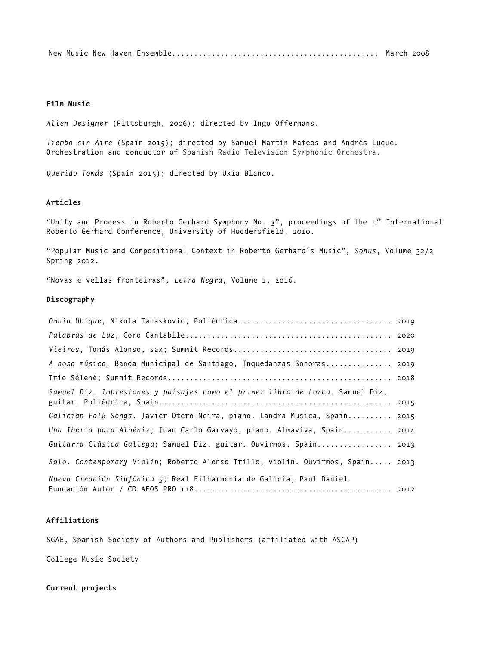New Music New Haven Ensemble............................................... March 2008

## **Film Music**

*Alien Designer* (Pittsburgh, 2006); directed by Ingo Offermans.

*Tiempo sin Aire* (Spain 2015); directed by Samuel Martín Mateos and Andrés Luque. Orchestration and conductor of Spanish Radio Television Symphonic Orchestra.

*Querido Tomás* (Spain 2015); directed by Uxía Blanco.

## **Articles**

"Unity and Process in Roberto Gerhard Symphony No.  $3$ ", proceedings of the  $1<sup>st</sup>$  International Roberto Gerhard Conference, University of Huddersfield, 2010.

"Popular Music and Compositional Context in Roberto Gerhard´s Music", *Sonus*, Volume 32/2 Spring 2012.

"Novas e vellas fronteiras", *Letra Negra*, Volume 1, 2016.

### **Discography**

| A nosa música, Banda Municipal de Santiago, Inquedanzas Sonoras 2019           |  |
|--------------------------------------------------------------------------------|--|
|                                                                                |  |
| Samuel Diz. Impresiones y paisajes como el primer libro de Lorca. Samuel Diz,  |  |
|                                                                                |  |
| Galician Folk Songs. Javier Otero Neira, piano. Landra Musica, Spain 2015      |  |
| Una Iberia para Albéniz; Juan Carlo Garvayo, piano. Almaviva, Spain 2014       |  |
| Guitarra Clásica Gallega; Samuel Diz, guitar. Ouvirmos, Spain 2013             |  |
| Solo. Contemporary Violin; Roberto Alonso Trillo, violin. Ouvirmos, Spain 2013 |  |
| Nueva Creación Sinfónica 5; Real Filharmonía de Galicia, Paul Daniel.          |  |

## **Affiliations**

SGAE, Spanish Society of Authors and Publishers (affiliated with ASCAP)

College Music Society

**Current projects**